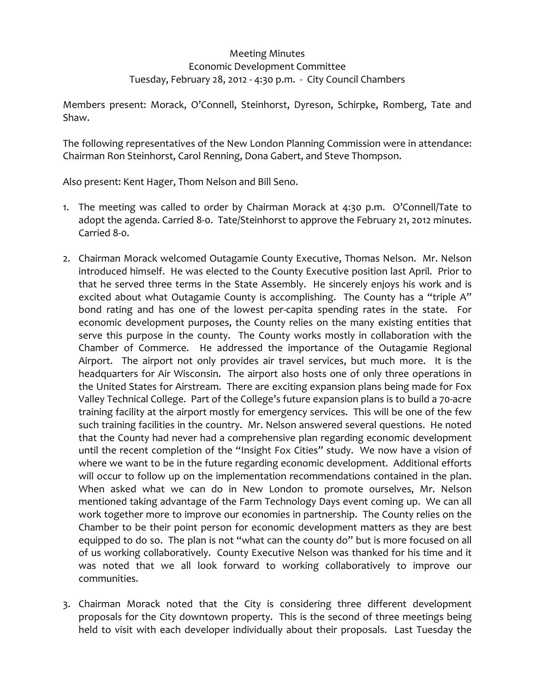## Meeting Minutes Economic Development Committee Tuesday, February 28, 2012 ‐ 4:30 p.m. ‐ City Council Chambers

Members present: Morack, O'Connell, Steinhorst, Dyreson, Schirpke, Romberg, Tate and Shaw.

The following representatives of the New London Planning Commission were in attendance: Chairman Ron Steinhorst, Carol Renning, Dona Gabert, and Steve Thompson.

Also present: Kent Hager, Thom Nelson and Bill Seno.

- 1. The meeting was called to order by Chairman Morack at 4:30 p.m. O'Connell/Tate to adopt the agenda. Carried 8‐0. Tate/Steinhorst to approve the February 21, 2012 minutes. Carried 8‐0.
- 2. Chairman Morack welcomed Outagamie County Executive, Thomas Nelson. Mr. Nelson introduced himself. He was elected to the County Executive position last April. Prior to that he served three terms in the State Assembly. He sincerely enjoys his work and is excited about what Outagamie County is accomplishing. The County has a "triple A" bond rating and has one of the lowest per-capita spending rates in the state. For economic development purposes, the County relies on the many existing entities that serve this purpose in the county. The County works mostly in collaboration with the Chamber of Commerce. He addressed the importance of the Outagamie Regional Airport. The airport not only provides air travel services, but much more. It is the headquarters for Air Wisconsin. The airport also hosts one of only three operations in the United States for Airstream. There are exciting expansion plans being made for Fox Valley Technical College. Part of the College's future expansion plans is to build a 70‐acre training facility at the airport mostly for emergency services. This will be one of the few such training facilities in the country. Mr. Nelson answered several questions. He noted that the County had never had a comprehensive plan regarding economic development until the recent completion of the "Insight Fox Cities" study. We now have a vision of where we want to be in the future regarding economic development. Additional efforts will occur to follow up on the implementation recommendations contained in the plan. When asked what we can do in New London to promote ourselves, Mr. Nelson mentioned taking advantage of the Farm Technology Days event coming up. We can all work together more to improve our economies in partnership. The County relies on the Chamber to be their point person for economic development matters as they are best equipped to do so. The plan is not "what can the county do" but is more focused on all of us working collaboratively. County Executive Nelson was thanked for his time and it was noted that we all look forward to working collaboratively to improve our communities.
- 3. Chairman Morack noted that the City is considering three different development proposals for the City downtown property. This is the second of three meetings being held to visit with each developer individually about their proposals. Last Tuesday the